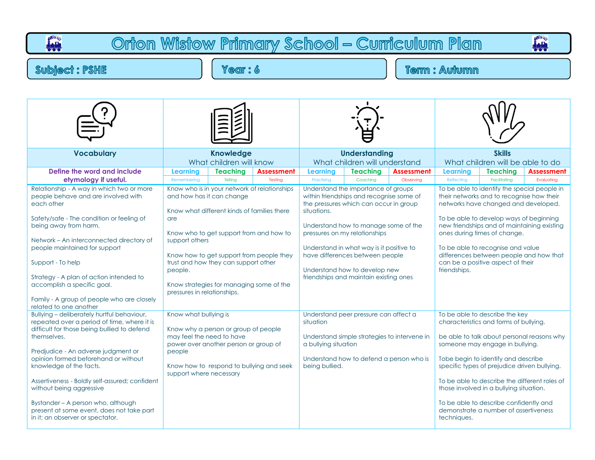| O <sup>WR</sup> S<br>Orton Wistow Primary School - Curriculum Plan<br>ian.<br>بليز                                                                                                                                                                                                                                                                                                                                                                                     |                                                                                         |                                                                                                                                                                                                                                                                                                     |                              |                                                     |                                                                                                                                                                                                                                                                                                                                                              |                                |                                                                                                                                                                                                                                                                                                                                                                                                                                                |                 |                   |  |  |  |
|------------------------------------------------------------------------------------------------------------------------------------------------------------------------------------------------------------------------------------------------------------------------------------------------------------------------------------------------------------------------------------------------------------------------------------------------------------------------|-----------------------------------------------------------------------------------------|-----------------------------------------------------------------------------------------------------------------------------------------------------------------------------------------------------------------------------------------------------------------------------------------------------|------------------------------|-----------------------------------------------------|--------------------------------------------------------------------------------------------------------------------------------------------------------------------------------------------------------------------------------------------------------------------------------------------------------------------------------------------------------------|--------------------------------|------------------------------------------------------------------------------------------------------------------------------------------------------------------------------------------------------------------------------------------------------------------------------------------------------------------------------------------------------------------------------------------------------------------------------------------------|-----------------|-------------------|--|--|--|
| Year: 6<br><b>Subject: PSHE</b>                                                                                                                                                                                                                                                                                                                                                                                                                                        |                                                                                         |                                                                                                                                                                                                                                                                                                     |                              |                                                     | <b>Term: Autumn</b>                                                                                                                                                                                                                                                                                                                                          |                                |                                                                                                                                                                                                                                                                                                                                                                                                                                                |                 |                   |  |  |  |
|                                                                                                                                                                                                                                                                                                                                                                                                                                                                        |                                                                                         |                                                                                                                                                                                                                                                                                                     |                              |                                                     |                                                                                                                                                                                                                                                                                                                                                              |                                |                                                                                                                                                                                                                                                                                                                                                                                                                                                |                 |                   |  |  |  |
| <b>Vocabulary</b>                                                                                                                                                                                                                                                                                                                                                                                                                                                      |                                                                                         | <b>Knowledge</b><br>What children will know                                                                                                                                                                                                                                                         |                              |                                                     | <b>Understanding</b><br>What children will understand                                                                                                                                                                                                                                                                                                        |                                | <b>Skills</b><br>What children will be able to do                                                                                                                                                                                                                                                                                                                                                                                              |                 |                   |  |  |  |
| Define the word and include<br>etymology if useful.                                                                                                                                                                                                                                                                                                                                                                                                                    | <b>Learning</b><br>Remembering                                                          | <b>Teaching</b><br>Tellina                                                                                                                                                                                                                                                                          | <b>Assessment</b><br>Testing | <b>Learning</b><br>Practising                       | <b>Teaching</b><br>Coaching                                                                                                                                                                                                                                                                                                                                  | <b>Assessment</b><br>Observing | Learning                                                                                                                                                                                                                                                                                                                                                                                                                                       | <b>Teaching</b> | <b>Assessment</b> |  |  |  |
| Relationship - A way in which two or more<br>people behave and are involved with<br>each other<br>Safety/safe - The condition or feeling of<br>being away from harm.<br>Network - An interconnected directory of<br>people maintained for support<br>Support - To help<br>Strategy - A plan of action intended to<br>accomplish a specific goal.<br>Family - A group of people who are closely<br>related to one another                                               | are<br>support others<br>people.<br>pressures in relationships.                         | Know who is in your network of relationships<br>and how has it can change<br>Know what different kinds of families there<br>Know who to get support from and how to<br>Know how to get support from people they<br>trust and how they can support other<br>Know strategies for managing some of the |                              | situations.                                         | Understand the importance of groups<br>within friendships and recognise some of<br>the pressures which can occur in group<br>Understand how to manage some of the<br>pressures on my relationships<br>Understand in what way is it positive to<br>have differences between people<br>Understand how to develop new<br>friendships and maintain existing ones |                                | Reflecting<br>Facilitating<br>Evaluating<br>To be able to identify the special people in<br>their networks and to recognise how their<br>networks have changed and developed.<br>To be able to develop ways of beginning<br>new friendships and of maintaining existing<br>ones during times of change.<br>To be able to recognise and value<br>differences between people and how that<br>can be a positive aspect of their<br>friendships.   |                 |                   |  |  |  |
| Bullying - deliberately hurtful behaviour,<br>repeated over a period of time, where it is<br>difficult for those being bullied to defend<br>themselves.<br>Predjudice - An adverse judgment or<br>opinion formed beforehand or without<br>knowledge of the facts.<br>Assertiveness - Boldly self-assured; confident<br>without being aggressive<br>Bystander - A person who, although<br>present at some event, does not take part<br>in it; an observer or spectator. | Know what bullying is<br>may feel the need to have<br>people<br>support where necessary | Know why a person or group of people<br>power over another person or group of<br>Know how to respond to bullying and seek                                                                                                                                                                           |                              | situation<br>a bullying situation<br>being bullied. | Understand peer pressure can affect a<br>Understand simple strategies to intervene in<br>Understand how to defend a person who is                                                                                                                                                                                                                            |                                | To be able to describe the key<br>characteristics and forms of bullying.<br>be able to talk about personal reasons why<br>someone may engage in bullying.<br>Tobe begin to identify and describe<br>specific types of prejudice driven bullying.<br>To be able to describe the different roles of<br>those involved in a bullying situation.<br>To be able to describe confidently and<br>demonstrate a number of assertiveness<br>techniques. |                 |                   |  |  |  |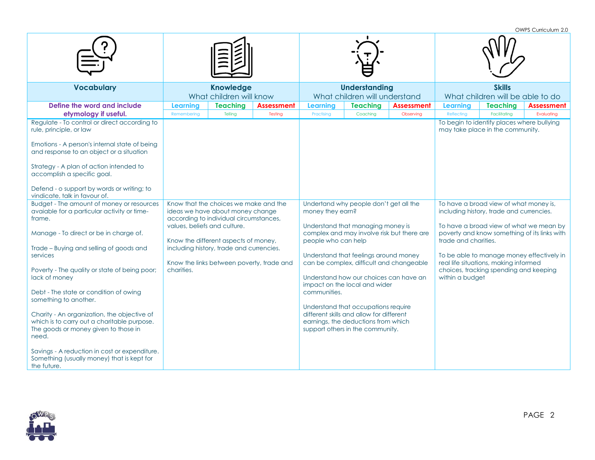OWPS Curriculum 2.0

| <b>Vocabulary</b>                                                                                                                                                                                                                                                                                                                                                                                                                                                                                                                                                                                                                                                                                                                                                                                                              | <b>Knowledge</b><br>What children will know                                  |                                                                                                                                                                                                                                                                                    |                              | <b>Understanding</b><br>What children will understand                                    |                                                                                                                                                                                                                                                                                                                                                                                                                                                    |                                | <b>Skills</b><br>What children will be able to do                        |                                                                                                                                                                                                                                                                                                                                                                                    |                                                                                 |  |
|--------------------------------------------------------------------------------------------------------------------------------------------------------------------------------------------------------------------------------------------------------------------------------------------------------------------------------------------------------------------------------------------------------------------------------------------------------------------------------------------------------------------------------------------------------------------------------------------------------------------------------------------------------------------------------------------------------------------------------------------------------------------------------------------------------------------------------|------------------------------------------------------------------------------|------------------------------------------------------------------------------------------------------------------------------------------------------------------------------------------------------------------------------------------------------------------------------------|------------------------------|------------------------------------------------------------------------------------------|----------------------------------------------------------------------------------------------------------------------------------------------------------------------------------------------------------------------------------------------------------------------------------------------------------------------------------------------------------------------------------------------------------------------------------------------------|--------------------------------|--------------------------------------------------------------------------|------------------------------------------------------------------------------------------------------------------------------------------------------------------------------------------------------------------------------------------------------------------------------------------------------------------------------------------------------------------------------------|---------------------------------------------------------------------------------|--|
| Define the word and include<br>etymology if useful.<br>Regulate - To control or direct according to<br>rule, principle, or law<br>Emotions - A person's internal state of being<br>and response to an object or a situation<br>Strategy - A plan of action intended to<br>accomplish a specific goal.<br>Defend - o support by words or writing; to<br>vindicate, talk in favour of.<br>Budget - The amount of money or resources<br>avaiable for a particular activity or time-<br>frame.<br>Manage - To direct or be in charge of.<br>Trade - Buying and selling of goods and<br>services<br>Poverty - The quality or state of being poor;<br>lack of money<br>Debt - The state or condition of owing<br>something to another.<br>Charity - An organization, the objective of<br>which is to carry out a charitable purpose. | <b>Learning</b><br>Remembering<br>values, beliefs and culture.<br>charities. | <b>Teaching</b><br>Telling<br>Know that the choices we make and the<br>ideas we have about money change<br>according to individual circumstances,<br>Know the different aspects of money,<br>including history, trade and currencies.<br>Know the links between poverty, trade and | <b>Assessment</b><br>Testing | <b>Learning</b><br>Practising<br>money they earn?<br>people who can help<br>communities. | <b>Teaching</b><br>Coaching<br>Undertand why people don't get all the<br>Understand that managing money is<br>complex and may involve risk but there are<br>Understand that feelings around money<br>can be complex, difficult and changeable<br>Understand how our choices can have an<br>impact on the local and wider<br>Understand that occupations require<br>different skills and allow for different<br>earnings, the deductions from which | <b>Assessment</b><br>Observing | <b>Learning</b><br>Reflecting<br>trade and charities.<br>within a budget | <b>Teaching</b><br>Facilitating<br>To begin to identify places where bullying<br>may take place in the community.<br>To have a broad view of what money is,<br>including history, trade and currencies.<br>To have a broad view of what we mean by<br>To be able to manage money effectively in<br>real life situations, making informed<br>choices, tracking spending and keeping | <b>Assessment</b><br>Evaluating<br>poverty and know something of its links with |  |
| The goods or money given to those in<br>need.<br>Savings - A reduction in cost or expenditure.<br>Something (usually money) that is kept for<br>the future.                                                                                                                                                                                                                                                                                                                                                                                                                                                                                                                                                                                                                                                                    |                                                                              |                                                                                                                                                                                                                                                                                    |                              |                                                                                          | support others in the community.                                                                                                                                                                                                                                                                                                                                                                                                                   |                                |                                                                          |                                                                                                                                                                                                                                                                                                                                                                                    |                                                                                 |  |

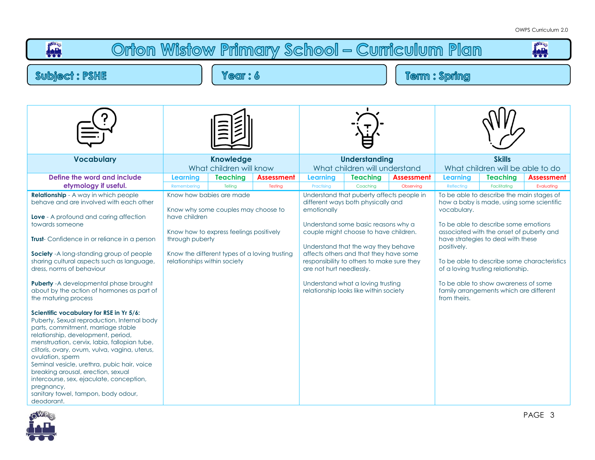| Orton Wistow Primary School - Curriculum Plan<br>ببيا                                                                                                                                                                                                                                                                                                                                                                                                                                        |                                                             |                                                                                                                                          |                              |                                       |                                                                                                                                                                                                            |                         |                                                                                                                                                                                                                                                                                                                          |  |  |  |
|----------------------------------------------------------------------------------------------------------------------------------------------------------------------------------------------------------------------------------------------------------------------------------------------------------------------------------------------------------------------------------------------------------------------------------------------------------------------------------------------|-------------------------------------------------------------|------------------------------------------------------------------------------------------------------------------------------------------|------------------------------|---------------------------------------|------------------------------------------------------------------------------------------------------------------------------------------------------------------------------------------------------------|-------------------------|--------------------------------------------------------------------------------------------------------------------------------------------------------------------------------------------------------------------------------------------------------------------------------------------------------------------------|--|--|--|
| <b>Subject: PSHE</b>                                                                                                                                                                                                                                                                                                                                                                                                                                                                         |                                                             | Year: 6                                                                                                                                  |                              | <b>Term: Spring</b>                   |                                                                                                                                                                                                            |                         |                                                                                                                                                                                                                                                                                                                          |  |  |  |
|                                                                                                                                                                                                                                                                                                                                                                                                                                                                                              |                                                             |                                                                                                                                          |                              |                                       |                                                                                                                                                                                                            |                         |                                                                                                                                                                                                                                                                                                                          |  |  |  |
|                                                                                                                                                                                                                                                                                                                                                                                                                                                                                              |                                                             |                                                                                                                                          |                              |                                       |                                                                                                                                                                                                            |                         |                                                                                                                                                                                                                                                                                                                          |  |  |  |
| <b>Vocabulary</b>                                                                                                                                                                                                                                                                                                                                                                                                                                                                            | <b>Knowledge</b><br>What children will know                 |                                                                                                                                          |                              |                                       | <b>Understanding</b><br>What children will understand                                                                                                                                                      |                         | <b>Skills</b><br>What children will be able to do                                                                                                                                                                                                                                                                        |  |  |  |
| Define the word and include<br>etymology if useful.<br><b>Relationship</b> - A way in which people<br>behave and are involved with each other<br><b>Love</b> - A profound and caring affection<br>towards someone<br>Trust- Confidence in or reliance in a person                                                                                                                                                                                                                            | Learning<br>Remembering<br>have children<br>through puberty | <b>Teaching</b><br>Telling<br>Know how babies are made<br>Know why some couples may choose to<br>Know how to express feelings positively | <b>Assessment</b><br>Testing | Learning<br>Practising<br>emotionally | <b>Teaching</b><br>Coaching<br>Understand that puberty affects people in<br>different ways both physically and<br>Understand some basic reasons why a<br>couple might choose to have children.             | Assessment<br>Observing | <b>Teaching</b><br>Assessment<br>Learning<br>Reflecting<br>Facilitating<br>Evaluating<br>To be able to describe the main stages of<br>how a baby is made, using some scientific<br>vocabulary.<br>To be able to describe some emotions<br>associated with the onset of puberty and<br>have strategies to deal with these |  |  |  |
| Society - A long-standing group of people<br>sharing cultural aspects such as language,<br>dress, norms of behaviour<br><b>Puberty</b> - A developmental phase brought<br>about by the action of hormones as part of<br>the maturing process                                                                                                                                                                                                                                                 | relationships within society                                | Know the different types of a loving trusting                                                                                            |                              | are not hurt needlessly.              | Understand that the way they behave<br>affects others and that they have some<br>responsibility to others to make sure they<br>Understand what a loving trusting<br>relationship looks like within society |                         | positively.<br>To be able to describe some characteristics<br>of a loving trusting relationship.<br>To be able to show awareness of some<br>family arrangements which are different<br>from theirs.                                                                                                                      |  |  |  |
| Scientific vocabulary for RSE in Yr 5/6:<br>Puberty, Sexual reproduction, Internal body<br>parts, commitment, marriage stable<br>relationship, development, period,<br>menstruation, cervix, labia, fallopian tube,<br>clitoris, ovary, ovum, vulva, vagina, uterus,<br>ovulation, sperm<br>Seminal vesicle, urethra, pubic hair, voice<br>breaking arousal, erection, sexual<br>intercourse, sex, ejaculate, conception,<br>pregnancy,<br>sanitary towel, tampon, body odour,<br>deodorant. |                                                             |                                                                                                                                          |                              |                                       |                                                                                                                                                                                                            |                         |                                                                                                                                                                                                                                                                                                                          |  |  |  |

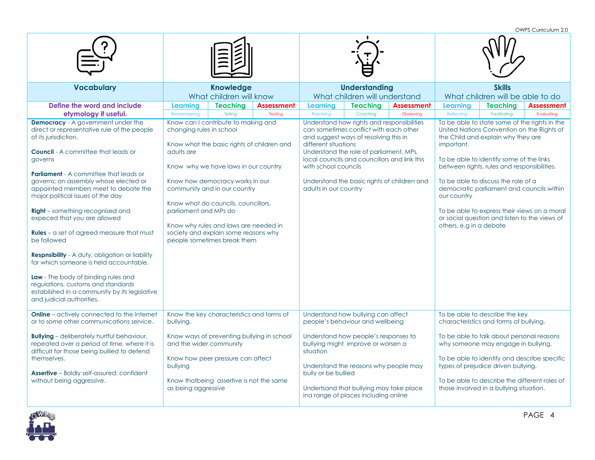|                                                                                                                                                                                                                                                                                                                                                                                                                                                                                                                                                                                                                                                                                                                                                                      |                                                                 |                                                                                                                                                                                                                                                                                                                                                     |                              |                                                                       |                                                                                                                                                                                                                                                                         |                                |                                                                                                                                                                                                                                                                                                                                                                                                                                                                           |                                                                          | OWPS Curriculum 2.0             |  |
|----------------------------------------------------------------------------------------------------------------------------------------------------------------------------------------------------------------------------------------------------------------------------------------------------------------------------------------------------------------------------------------------------------------------------------------------------------------------------------------------------------------------------------------------------------------------------------------------------------------------------------------------------------------------------------------------------------------------------------------------------------------------|-----------------------------------------------------------------|-----------------------------------------------------------------------------------------------------------------------------------------------------------------------------------------------------------------------------------------------------------------------------------------------------------------------------------------------------|------------------------------|-----------------------------------------------------------------------|-------------------------------------------------------------------------------------------------------------------------------------------------------------------------------------------------------------------------------------------------------------------------|--------------------------------|---------------------------------------------------------------------------------------------------------------------------------------------------------------------------------------------------------------------------------------------------------------------------------------------------------------------------------------------------------------------------------------------------------------------------------------------------------------------------|--------------------------------------------------------------------------|---------------------------------|--|
|                                                                                                                                                                                                                                                                                                                                                                                                                                                                                                                                                                                                                                                                                                                                                                      |                                                                 |                                                                                                                                                                                                                                                                                                                                                     |                              |                                                                       |                                                                                                                                                                                                                                                                         |                                |                                                                                                                                                                                                                                                                                                                                                                                                                                                                           |                                                                          |                                 |  |
| <b>Vocabulary</b>                                                                                                                                                                                                                                                                                                                                                                                                                                                                                                                                                                                                                                                                                                                                                    |                                                                 | <b>Knowledge</b><br>What children will know                                                                                                                                                                                                                                                                                                         |                              |                                                                       | <b>Understanding</b><br>What children will understand                                                                                                                                                                                                                   |                                | <b>Skills</b><br>What children will be able to do                                                                                                                                                                                                                                                                                                                                                                                                                         |                                                                          |                                 |  |
| Define the word and include<br>etymology if useful.                                                                                                                                                                                                                                                                                                                                                                                                                                                                                                                                                                                                                                                                                                                  | Learning<br>Remembering                                         | <b>Teaching</b><br>Telling                                                                                                                                                                                                                                                                                                                          | <b>Assessment</b><br>Testina | Learning<br>Practising                                                | <b>Teaching</b><br>Coachina                                                                                                                                                                                                                                             | <b>Assessment</b><br>Observing | Learning<br>Reflecting                                                                                                                                                                                                                                                                                                                                                                                                                                                    | <b>Teaching</b><br>Facilitating                                          | <b>Assessment</b><br>Evaluatina |  |
| <b>Democracy</b> - A government under the<br>direct or representative rule of the people<br>of its jurisdiction.<br><b>Council</b> - A committee that leads or<br>governs<br><b>Parliament</b> - A committee that leads or<br>governs; an assembly whose elected or<br>appointed members meet to debate the<br>major political issues of the day<br><b>Right</b> – something recognised and<br>expeced that you are allowed<br><b>Rules</b> – a set of agreed measure that must<br>be followed<br><b>Respnsibility</b> - A duty, obligation or liability<br>for which someone is held accountable.<br><b>Law</b> - The body of binding rules and<br>regulations, customs and standards<br>established in a community by its legislative<br>and judicial authorities. | changing rules in school<br>adults are<br>parliament and MPs do | Know can I contribute to making and<br>Know what the basic rights of children and<br>Know why we have laws in our country<br>Know how democracy works in our<br>community and in our country<br>Know what do councils, councillors,<br>Know why rules and laws are needed in<br>society and explain some reasons why<br>people sometimes break them |                              | different situations<br>with school councils<br>adults in our country | Understand how rights and responsibilities<br>can sometimes conflict with each other<br>and suggest ways of resolving this in<br>Understand the role of parliament, MPs,<br>local councils and councillors and link this<br>Understand the basic rights of children and |                                | To be able to state some of the rights in the<br>United Nations Convention on the Rights of<br>the Child and explain why they are<br>important.<br>To be able to identify some of the links<br>between rights, rules and responsibilities.<br>To be able to discuss the role of a<br>democratic parliament and councils within<br>our country<br>To be able to express their views on a moral<br>or social question and listen to the views of<br>others, e.g in a debate |                                                                          |                                 |  |
| <b>Online</b> - actively connected to the Internet<br>or to some other communications service.                                                                                                                                                                                                                                                                                                                                                                                                                                                                                                                                                                                                                                                                       | bullying.                                                       | Know the key characteristics and forms of                                                                                                                                                                                                                                                                                                           |                              |                                                                       | Understand how bullying can affect<br>people's behaviour and wellbeing                                                                                                                                                                                                  |                                |                                                                                                                                                                                                                                                                                                                                                                                                                                                                           | To be able to describe the key<br>characteristics and forms of bullying. |                                 |  |
| <b>Bullying</b> - deliberately hurtful behaviour,<br>repeated over a period of time, where it is<br>difficult for those being bullied to defend<br>themselves.<br><b>Assertive</b> - Boldly self-assured; confident<br>without being aggressive.                                                                                                                                                                                                                                                                                                                                                                                                                                                                                                                     | and the wider community<br>bullying<br>as being aggressive      | Know ways of preventing bullying in school<br>Know how peer pressure can affect<br>Know thatbeing assertive is not the same                                                                                                                                                                                                                         |                              | situation<br>bully or be bullied                                      | Understand how people's responses to<br>bullying might improve or worsen a<br>Understand the reasons why people may<br>Undertsand that bullying may take place<br>ing range of places including online                                                                  |                                | To be able to talk about personal reasons<br>why someone may engage in bullying.<br>To be able to identify and describe specific<br>types of prejudice driven bullying.<br>To be able to describe the different roles of<br>those involved in a bullying situation.                                                                                                                                                                                                       |                                                                          |                                 |  |

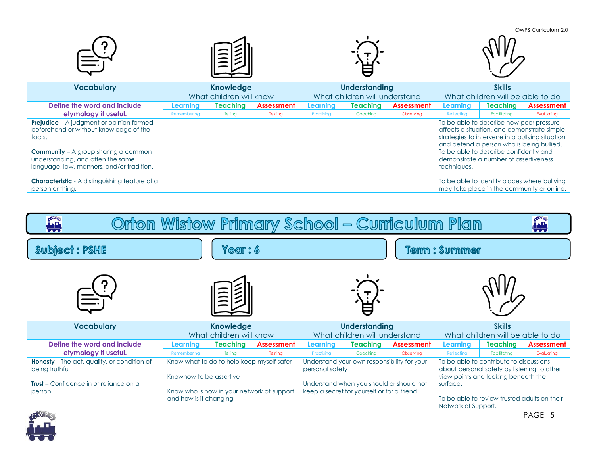|                                                                                                                                                                                           |                         |                 |            |                               |                      |                   |                                  |                                                                                                                                                                                                                                                                            | OWPS Curriculum 2.0                                                                        |
|-------------------------------------------------------------------------------------------------------------------------------------------------------------------------------------------|-------------------------|-----------------|------------|-------------------------------|----------------------|-------------------|----------------------------------|----------------------------------------------------------------------------------------------------------------------------------------------------------------------------------------------------------------------------------------------------------------------------|--------------------------------------------------------------------------------------------|
|                                                                                                                                                                                           |                         |                 |            |                               |                      |                   |                                  |                                                                                                                                                                                                                                                                            |                                                                                            |
| <b>Vocabulary</b>                                                                                                                                                                         | <b>Knowledge</b>        |                 |            |                               | <b>Understanding</b> |                   | <b>Skills</b>                    |                                                                                                                                                                                                                                                                            |                                                                                            |
|                                                                                                                                                                                           | What children will know |                 |            | What children will understand |                      |                   | What children will be able to do |                                                                                                                                                                                                                                                                            |                                                                                            |
| Define the word and include                                                                                                                                                               | Learning                | <b>Teaching</b> | Assessment | Learning                      | Teaching             | <b>Assessment</b> | Learning                         | Teaching                                                                                                                                                                                                                                                                   | <b>Assessment</b>                                                                          |
| etymology if useful.                                                                                                                                                                      | Remembering             | Telling         | Testing    | Practising                    | Coaching             | Observing         | Reflecting                       | Facilitatina                                                                                                                                                                                                                                                               | Evaluating                                                                                 |
| <b>Prejudice</b> – A judgment or opinion formed<br>beforehand or without knowledge of the<br>facts.<br><b>Community</b> $-$ A group sharing a common<br>understanding, and often the same |                         |                 |            |                               |                      |                   |                                  | To be able to describe how peer pressure<br>affects a situation, and demonstrate simple<br>strategies to intervene in a bullying situation<br>and defend a person who is being bullied.<br>To be able to describe confidently and<br>demonstrate a number of assertiveness |                                                                                            |
| language, law, manners, and/or tradition.<br><b>Characteristic</b> - A distinguishing feature of a<br>person or thing.                                                                    |                         |                 |            |                               |                      |                   | techniques.                      |                                                                                                                                                                                                                                                                            | To be able to identify places where bullying<br>may take place in the community or online. |

| OWRS<br><b>OWRE</b><br>Orion Wistow Primary School – Curriculum Plan<br><u>ian</u><br>بلين                            |                         |                                                                                         |                   |                                                                                                                                                          |          |                   |                                                                                                                                           |                 |                   |  |  |
|-----------------------------------------------------------------------------------------------------------------------|-------------------------|-----------------------------------------------------------------------------------------|-------------------|----------------------------------------------------------------------------------------------------------------------------------------------------------|----------|-------------------|-------------------------------------------------------------------------------------------------------------------------------------------|-----------------|-------------------|--|--|
| <b>Subject: PSHE</b><br>Year: 6                                                                                       |                         |                                                                                         |                   | <b>Term: Summer</b>                                                                                                                                      |          |                   |                                                                                                                                           |                 |                   |  |  |
|                                                                                                                       |                         |                                                                                         |                   |                                                                                                                                                          |          |                   |                                                                                                                                           |                 |                   |  |  |
| <b>Vocabulary</b>                                                                                                     |                         | <b>Knowledge</b>                                                                        |                   | <b>Understanding</b>                                                                                                                                     |          |                   | <b>Skills</b>                                                                                                                             |                 |                   |  |  |
|                                                                                                                       |                         | What children will know                                                                 |                   | What children will understand                                                                                                                            |          |                   | What children will be able to do                                                                                                          |                 |                   |  |  |
| Define the word and include                                                                                           | Learning                | Teaching                                                                                | <b>Assessment</b> | <b>Learning</b>                                                                                                                                          | Teaching | <b>Assessment</b> | Learning                                                                                                                                  | <b>Teaching</b> | <b>Assessment</b> |  |  |
| etymology if useful.                                                                                                  | Remembering             | Tellina                                                                                 | Testina           | Practising                                                                                                                                               | Coachina | Observina         | Reflecting                                                                                                                                | Facilitatina    | Evaluating        |  |  |
| <b>Honesty</b> - The act, quality, or condition of<br>being truthful<br><b>Trust</b> – Confidence in or reliance on a | Knowhow to be assertive | Know what to do to help keep myself safer<br>Know who is now in your network of support |                   | Understand your own responsibility for your<br>personal safety<br>Understand when you should or should not<br>keep a secret for yourself or for a friend |          |                   | To be able to contribute to discussions<br>about personal safety by listening to other<br>view points and looking beneath the<br>surface. |                 |                   |  |  |
| person<br><b>Allena</b>                                                                                               | and how is it changing  |                                                                                         |                   |                                                                                                                                                          |          |                   | To be able to review trusted adults on their<br>Network of Support.                                                                       |                 |                   |  |  |

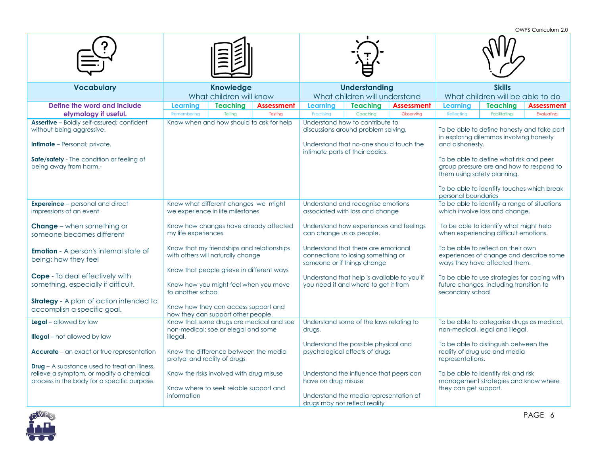**Vocabulary Knowledge** What children will know **Understanding** What children will understand **Skills** What children will be able to do **Define the word and include etymology if useful. Learning Teaching Assessment Learning Teaching Assessment Learning Teaching Assessment** Remembering | Telling | Testing | Practising | Coaching | Observing | Reflecting | Facilitating | Evaluating **Assertive** – Boldly self-assured; confident without being aggressive. **Intimate** – Personal: private. **Safe/safety** - The condition or feeling of being away from harm.- Know when and how should to ask for help Understand how to contribute to discussions around problem solving. Understand that no-one should touch the intimate parts of their bodies. To be able to define honesty and take part in exploring dilemmas involving honesty and dishonesty. To be able to define what risk and peer group pressure are and how to respond to them using safety planning. To be able to identify touches which break personal boundaries **Expereince** – personal and direct impressions of an event **Change** – when something or someone becomes different **Emotion** - A person's internal state of being; how they feel **Cope** - To deal effectively with something, especially if difficult. **Strategy** - A plan of action intended to accomplish a specific goal. Know what different changes we might we experience in life milestones Know how changes have already affected my life experiences Know that my friendships and relationships with others will naturally change Know that people grieve in different ways Know how you might feel when you move to another school Know how they can access support and how they can support other people. Understand and recognise emotions associated with loss and change Understand how experiences and feelings can change us as people. Understand that there are emotional connections to losing something or someone or if things change Understand that help is available to you if you need it and where to get it from To be able to identify a range of situations which involve loss and change. To be able to identify what might help when experiencing difficult emotions. To be able to reflect on their own experiences of change and describe some ways they have affected them. To be able to use strategies for coping with future changes, including transition to secondary school **Legal** – allowed by law **Illegal** – not allowed by law **Accurate** – an exact or true representation **Drug** – A substance used to treat an illness, relieve a symptom, or modify a chemical process in the body for a specific purpose. Know that some drugs are medical and soe non-medical; soe ar elegal and some illegal. Know the difference between the media protyal and reality of drugs Know the risks involved with drug misuse Know where to seek reiable support and information Understand some of the laws relating to drugs. Understand the possible physical and psychological effects of drugs Understand the influence that peers can have on drug misuse Understand the media representation of drugs may not reflect reality To be able to categorise drugs as medical, non-medical, legal and illegal. To be able to distinguish between the reality of drug use and media representations. To be able to identify risk and risk management strategies and know where they can get support.



OWPS Curriculum 2.0